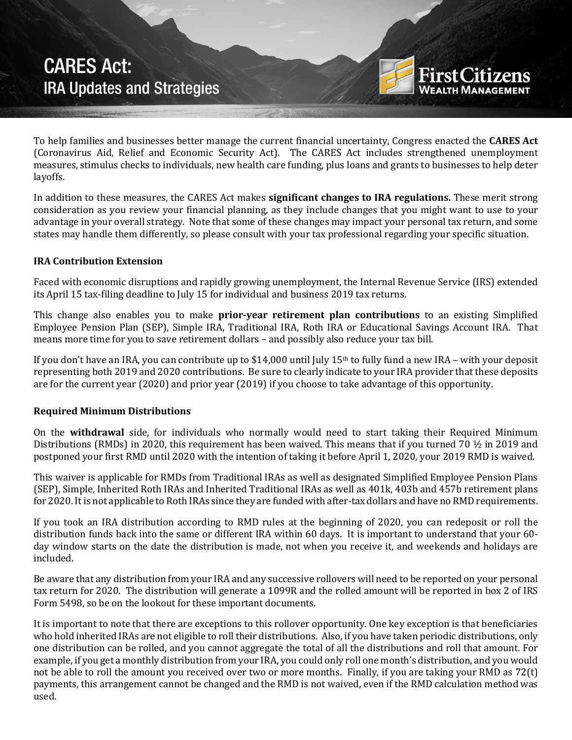CARES Act: IRA Updates and Strategies



To help families and businesses better manage the current financial uncertainty, Congress enacted the **CARES Act** (Coronavirus Aid, Relief and Economic Security Act). The CARES Act includes strengthened unemployment measures, stimulus checks to individuals, new health care funding, plus loans and grants to businesses to help deter layoffs.

In addition to these measures, the CARES Act makes **significant changes to IRA regulations.** These merit strong consideration as you review your financial planning, as they include changes that you might want to use to your advantage in your overall strategy. Note that some of these changes may impact your personal tax return, and some states may handle them differently, so please consult with your tax professional regarding your specific situation.

## **IRA Contribution Extension**

Faced with economic disruptions and rapidly growing unemployment, the Internal Revenue Service (IRS) extended its April 15 tax-filing deadline to July 15 for individual and business 2019 tax returns.

This change also enables you to make **prior-year retirement plan contributions** to an existing Simplified Employee Pension Plan (SEP), Simple IRA, Traditional IRA, Roth IRA or Educational Savings Account IRA. That means more time for you to save retirement dollars – and possibly also reduce your tax bill.

If you don't have an IRA, you can contribute up to  $$14,000$  until July 15<sup>th</sup> to fully fund a new IRA – with your deposit representing both 2019 and 2020 contributions. Be sure to clearly indicate to your IRA provider that these deposits are for the current year (2020) and prior year (2019) if you choose to take advantage of this opportunity.

# **Required Minimum Distributions**

On the **withdrawal** side, for individuals who normally would need to start taking their Required Minimum Distributions (RMDs) in 2020, this requirement has been waived. This means that if you turned 70 ½ in 2019 and postponed your first RMD until 2020 with the intention of taking it before April 1, 2020, your 2019 RMD is waived.

This waiver is applicable for RMDs from Traditional IRAs as well as designated Simplified Employee Pension Plans (SEP), Simple, Inherited Roth IRAs and Inherited Traditional IRAs as well as 401k, 403b and 457b retirement plans for 2020. It is not applicable to Roth IRAs since they are funded with after-tax dollars and have no RMD requirements.

If you took an IRA distribution according to RMD rules at the beginning of 2020, you can redeposit or roll the distribution funds back into the same or different IRA within 60 days. It is important to understand that your 60 day window starts on the date the distribution is made, not when you receive it, and weekends and holidays are included.

Be aware that any distribution from your IRA and any successive rollovers will need to be reported on your personal tax return for 2020. The distribution will generate a 1099R and the rolled amount will be reported in box 2 of IRS Form 5498, so be on the lookout for these important documents.

It is important to note that there are exceptions to this rollover opportunity. One key exception is that beneficiaries who hold inherited IRAs are not eligible to roll their distributions. Also, if you have taken periodic distributions, only one distribution can be rolled, and you cannot aggregate the total of all the distributions and roll that amount. For example, if you get a monthly distribution from your IRA, you could only roll one month's distribution, and you would not be able to roll the amount you received over two or more months. Finally, if you are taking your RMD as 72(t) payments, this arrangement cannot be changed and the RMD is not waived, even if the RMD calculation method was used.